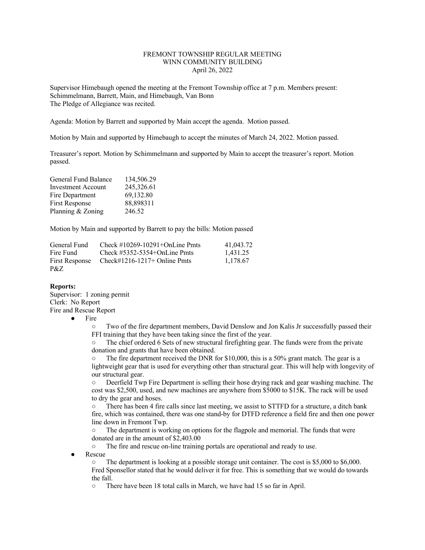# FREMONT TOWNSHIP REGULAR MEETING WINN COMMUNITY BUILDING April 26, 2022

Supervisor Himebaugh opened the meeting at the Fremont Township office at 7 p.m. Members present: Schimmelmann, Barrett, Main, and Himebaugh, Van Bonn The Pledge of Allegiance was recited.

Agenda: Motion by Barrett and supported by Main accept the agenda. Motion passed.

Motion by Main and supported by Himebaugh to accept the minutes of March 24, 2022. Motion passed.

Treasurer's report. Motion by Schimmelmann and supported by Main to accept the treasurer's report. Motion passed.

| General Fund Balance      | 134,506.29 |
|---------------------------|------------|
| <b>Investment Account</b> | 245,326.61 |
| Fire Department           | 69,132.80  |
| <b>First Response</b>     | 88,898311  |
| Planning & Zoning         | 246.52     |

Motion by Main and supported by Barrett to pay the bills: Motion passed

| General Fund   | Check $\#10269-10291+OnLine Pmts$ | 41,043.72 |
|----------------|-----------------------------------|-----------|
| Fire Fund      | Check $\#5352-5354+OnLine Pmts$   | 1.431.25  |
| First Response | Check#1216-1217+ Online Pmts      | 1,178.67  |
| P&Z            |                                   |           |

# **Reports:**

Supervisor: 1 zoning permit Clerk: No Report Fire and Rescue Report

Fire

Two of the fire department members, David Denslow and Jon Kalis Jr successfully passed their FFI training that they have been taking since the first of the year.

○ The chief ordered 6 Sets of new structural firefighting gear. The funds were from the private donation and grants that have been obtained.

 $\circ$  The fire department received the DNR for \$10,000, this is a 50% grant match. The gear is a lightweight gear that is used for everything other than structural gear. This will help with longevity of our structural gear.

○ Deerfield Twp Fire Department is selling their hose drying rack and gear washing machine. The cost was \$2,500, used, and new machines are anywhere from \$5000 to \$15K. The rack will be used to dry the gear and hoses.

There has been 4 fire calls since last meeting, we assist to STTFD for a structure, a ditch bank fire, which was contained, there was one stand-by for DTFD reference a field fire and then one power line down in Fremont Twp.

○ The department is working on options for the flagpole and memorial. The funds that were donated are in the amount of \$2,403.00

○ The fire and rescue on-line training portals are operational and ready to use.

Rescue

○ The department is looking at a possible storage unit container. The cost is \$5,000 to \$6,000. Fred Sponsellor stated that he would deliver it for free. This is something that we would do towards the fall.

○ There have been 18 total calls in March, we have had 15 so far in April.